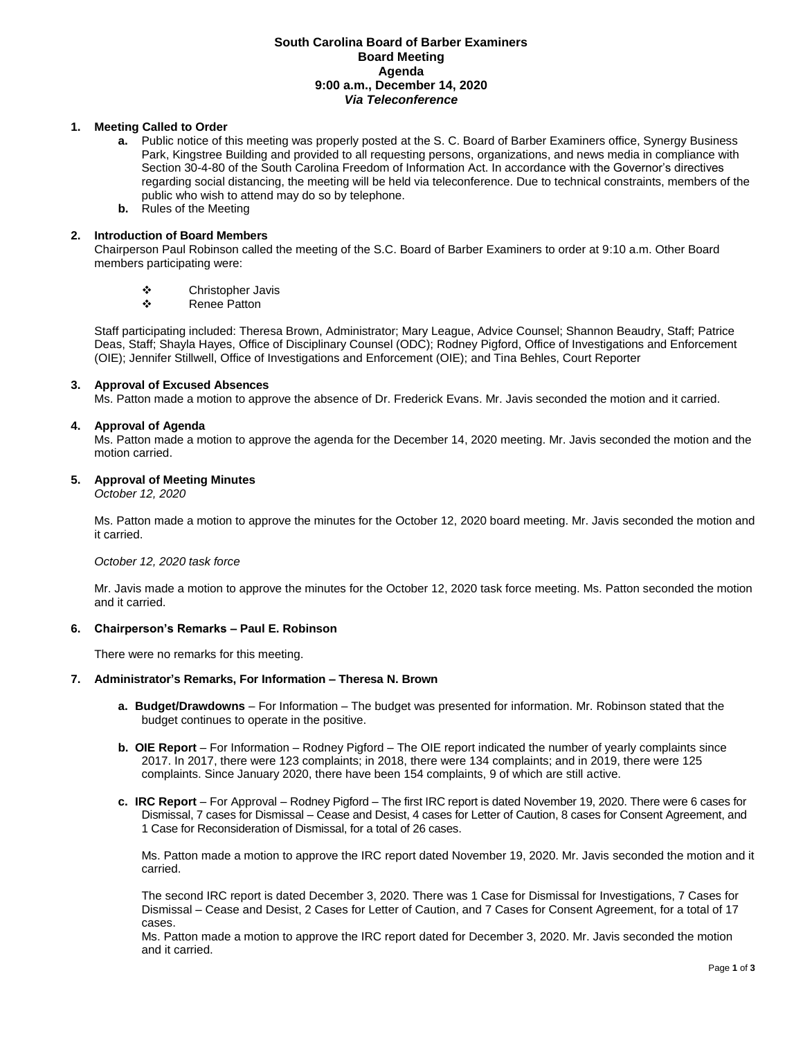# **South Carolina Board of Barber Examiners Board Meeting Agenda 9:00 a.m., December 14, 2020** *Via Teleconference*

# **1. Meeting Called to Order**

- **a.** Public notice of this meeting was properly posted at the S. C. Board of Barber Examiners office, Synergy Business Park, Kingstree Building and provided to all requesting persons, organizations, and news media in compliance with Section 30-4-80 of the South Carolina Freedom of Information Act. In accordance with the Governor's directives regarding social distancing, the meeting will be held via teleconference. Due to technical constraints, members of the public who wish to attend may do so by telephone.
- **b.** Rules of the Meeting

# **2. Introduction of Board Members**

Chairperson Paul Robinson called the meeting of the S.C. Board of Barber Examiners to order at 9:10 a.m. Other Board members participating were:

- ❖ Christopher Javis<br>◆ Penee Patton
- Renee Patton

Staff participating included: Theresa Brown, Administrator; Mary League, Advice Counsel; Shannon Beaudry, Staff; Patrice Deas, Staff; Shayla Hayes, Office of Disciplinary Counsel (ODC); Rodney Pigford, Office of Investigations and Enforcement (OIE); Jennifer Stillwell, Office of Investigations and Enforcement (OIE); and Tina Behles, Court Reporter

# **3. Approval of Excused Absences**

Ms. Patton made a motion to approve the absence of Dr. Frederick Evans. Mr. Javis seconded the motion and it carried.

## **4. Approval of Agenda**

Ms. Patton made a motion to approve the agenda for the December 14, 2020 meeting. Mr. Javis seconded the motion and the motion carried.

## **5. Approval of Meeting Minutes**

*October 12, 2020*

Ms. Patton made a motion to approve the minutes for the October 12, 2020 board meeting. Mr. Javis seconded the motion and it carried.

## *October 12, 2020 task force*

Mr. Javis made a motion to approve the minutes for the October 12, 2020 task force meeting. Ms. Patton seconded the motion and it carried.

## **6. Chairperson's Remarks – Paul E. Robinson**

There were no remarks for this meeting.

## **7. Administrator's Remarks, For Information – Theresa N. Brown**

- **a. Budget/Drawdowns** For Information The budget was presented for information. Mr. Robinson stated that the budget continues to operate in the positive.
- **b.** OIE Report For Information Rodney Pigford The OIE report indicated the number of yearly complaints since 2017. In 2017, there were 123 complaints; in 2018, there were 134 complaints; and in 2019, there were 125 complaints. Since January 2020, there have been 154 complaints, 9 of which are still active.
- **c. IRC Report**  For Approval Rodney Pigford The first IRC report is dated November 19, 2020. There were 6 cases for Dismissal, 7 cases for Dismissal – Cease and Desist, 4 cases for Letter of Caution, 8 cases for Consent Agreement, and 1 Case for Reconsideration of Dismissal, for a total of 26 cases.

Ms. Patton made a motion to approve the IRC report dated November 19, 2020. Mr. Javis seconded the motion and it carried.

The second IRC report is dated December 3, 2020. There was 1 Case for Dismissal for Investigations, 7 Cases for Dismissal – Cease and Desist, 2 Cases for Letter of Caution, and 7 Cases for Consent Agreement, for a total of 17 cases.

Ms. Patton made a motion to approve the IRC report dated for December 3, 2020. Mr. Javis seconded the motion and it carried.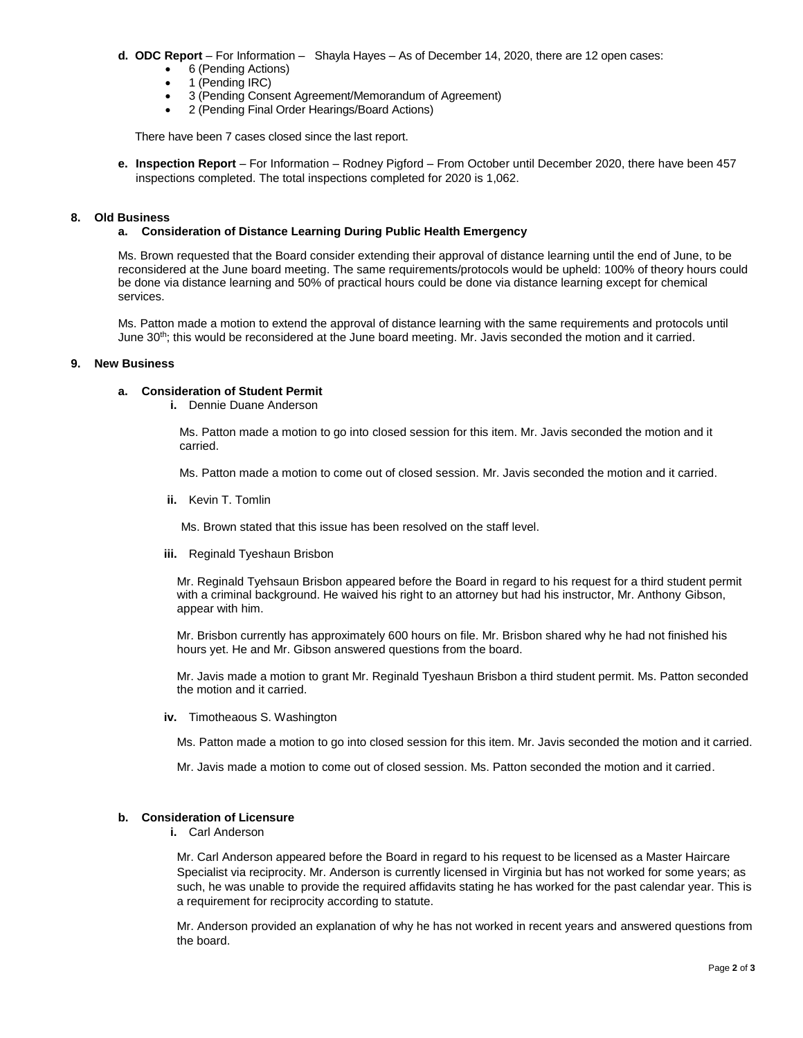#### **d. ODC Report** – For Information – Shayla Hayes – As of December 14, 2020, there are 12 open cases:

- 6 (Pending Actions)
- $\bullet$  1 (Pending IRC)
- 3 (Pending Consent Agreement/Memorandum of Agreement)
- 2 (Pending Final Order Hearings/Board Actions)

There have been 7 cases closed since the last report.

**e. Inspection Report** – For Information – Rodney Pigford – From October until December 2020, there have been 457 inspections completed. The total inspections completed for 2020 is 1,062.

# **8. Old Business**

## **a. Consideration of Distance Learning During Public Health Emergency**

Ms. Brown requested that the Board consider extending their approval of distance learning until the end of June, to be reconsidered at the June board meeting. The same requirements/protocols would be upheld: 100% of theory hours could be done via distance learning and 50% of practical hours could be done via distance learning except for chemical services.

Ms. Patton made a motion to extend the approval of distance learning with the same requirements and protocols until June 30th; this would be reconsidered at the June board meeting. Mr. Javis seconded the motion and it carried.

## **9. New Business**

# **a. Consideration of Student Permit**

**i.** Dennie Duane Anderson

Ms. Patton made a motion to go into closed session for this item. Mr. Javis seconded the motion and it carried.

Ms. Patton made a motion to come out of closed session. Mr. Javis seconded the motion and it carried.

**ii.** Kevin T. Tomlin

Ms. Brown stated that this issue has been resolved on the staff level.

**iii.** Reginald Tyeshaun Brisbon

Mr. Reginald Tyehsaun Brisbon appeared before the Board in regard to his request for a third student permit with a criminal background. He waived his right to an attorney but had his instructor, Mr. Anthony Gibson, appear with him.

Mr. Brisbon currently has approximately 600 hours on file. Mr. Brisbon shared why he had not finished his hours yet. He and Mr. Gibson answered questions from the board.

Mr. Javis made a motion to grant Mr. Reginald Tyeshaun Brisbon a third student permit. Ms. Patton seconded the motion and it carried.

**iv.** Timotheaous S. Washington

Ms. Patton made a motion to go into closed session for this item. Mr. Javis seconded the motion and it carried.

Mr. Javis made a motion to come out of closed session. Ms. Patton seconded the motion and it carried.

# **b. Consideration of Licensure**

**i.** Carl Anderson

Mr. Carl Anderson appeared before the Board in regard to his request to be licensed as a Master Haircare Specialist via reciprocity. Mr. Anderson is currently licensed in Virginia but has not worked for some years; as such, he was unable to provide the required affidavits stating he has worked for the past calendar year. This is a requirement for reciprocity according to statute.

Mr. Anderson provided an explanation of why he has not worked in recent years and answered questions from the board.